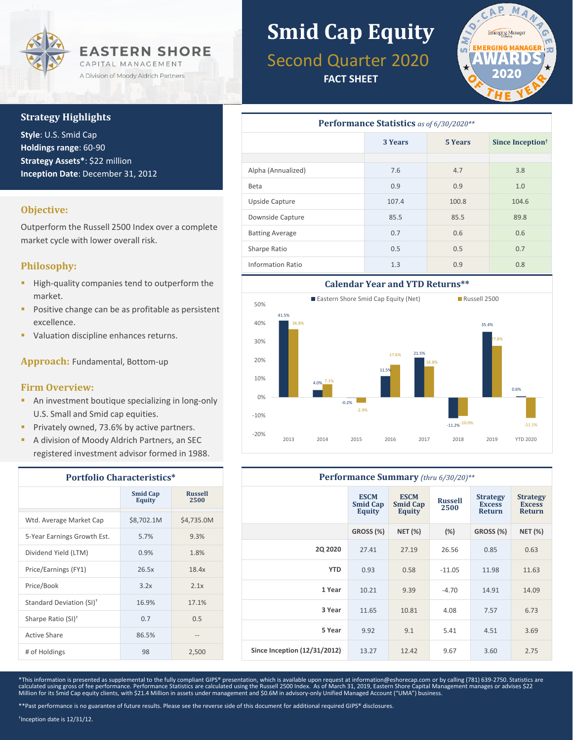

#### **Strategy Highlights**

**Style**: U.S. Smid Cap **Holdings range**: 60-90 **Strategy Assets\***: \$22 million **Inception Date**: December 31, 2012

#### **Objective:**

Outperform the Russell 2500 Index over a complete market cycle with lower overall risk.

#### **Philosophy:**

- High-quality companies tend to outperform the market.
- **Positive change can be as profitable as persistent** excellence.
- Valuation discipline enhances returns.

**Approach:** Fundamental, Bottom-up

#### **Firm Overview:**

- **An investment boutique specializing in long-only** U.S. Small and Smid cap equities.
- **Privately owned, 73.6% by active partners.**
- A division of Moody Aldrich Partners, an SEC registered investment advisor formed in 1988.

| <b>Portfolio Characteristics*</b>    |                                  |                        |  |  |
|--------------------------------------|----------------------------------|------------------------|--|--|
|                                      | <b>Smid Cap</b><br><b>Equity</b> | <b>Russell</b><br>2500 |  |  |
| Wtd. Average Market Cap              | \$8,702.1M                       | \$4,735.0M             |  |  |
| 5-Year Earnings Growth Est.          | 5.7%                             | 9.3%                   |  |  |
| Dividend Yield (LTM)                 | 0.9%                             | 1.8%                   |  |  |
| Price/Earnings (FY1)                 | 26.5x                            | 18.4x                  |  |  |
| Price/Book                           | 3.2x                             | 2.1x                   |  |  |
| Standard Deviation (SI) <sup>+</sup> | 16.9%                            | 17.1%                  |  |  |
| Sharpe Ratio (SI) <sup>†</sup>       | 0.7                              | 0.5                    |  |  |
| Active Share                         | 86.5%                            |                        |  |  |
| # of Holdings                        | 98                               | 2,500                  |  |  |

## **Smid Cap Equity**

### Second Quarter 2020

**FACT SHEET**



| <b>Performance Statistics</b> as of 6/30/2020** |         |         |                              |  |  |
|-------------------------------------------------|---------|---------|------------------------------|--|--|
|                                                 | 3 Years | 5 Years | Since Inception <sup>†</sup> |  |  |
|                                                 |         |         |                              |  |  |
| Alpha (Annualized)                              | 7.6     | 4.7     | 3.8                          |  |  |
| Beta                                            | 0.9     | 0.9     | 1.0                          |  |  |
| Upside Capture                                  | 107.4   | 100.8   | 104.6                        |  |  |
| Downside Capture                                | 85.5    | 85.5    | 89.8                         |  |  |
| <b>Batting Average</b>                          | 0.7     | 0.6     | 0.6                          |  |  |
| Sharpe Ratio                                    | 0.5     | 0.5     | 0.7                          |  |  |
| <b>Information Ratio</b>                        | 1.3     | 0.9     | 0.8                          |  |  |



#### **Performance Summary** *(thru 6/30/20)\*\**

|                              | <b>ESCM</b><br><b>Smid Cap</b><br>Equity | <b>ESCM</b><br><b>Smid Cap</b><br><b>Equity</b> | <b>Russell</b><br>2500 | <b>Strategy</b><br><b>Excess</b><br><b>Return</b> | <b>Strategy</b><br><b>Excess</b><br><b>Return</b> |
|------------------------------|------------------------------------------|-------------------------------------------------|------------------------|---------------------------------------------------|---------------------------------------------------|
|                              | GROSS (%)                                | <b>NET (%)</b>                                  | (%)                    | GROSS (%)                                         | <b>NET (%)</b>                                    |
| <b>2Q 2020</b>               | 27.41                                    | 27.19                                           | 26.56                  | 0.85                                              | 0.63                                              |
| <b>YTD</b>                   | 0.93                                     | 0.58                                            | $-11.05$               | 11.98                                             | 11.63                                             |
| 1 Year                       | 10.21                                    | 9.39                                            | $-4.70$                | 14.91                                             | 14.09                                             |
| 3 Year                       | 11.65                                    | 10.81                                           | 4.08                   | 7.57                                              | 6.73                                              |
| 5 Year                       | 9.92                                     | 9.1                                             | 5.41                   | 4.51                                              | 3.69                                              |
| Since Inception (12/31/2012) | 13.27                                    | 12.42                                           | 9.67                   | 3.60                                              | 2.75                                              |

\*This information is presented as supplemental to the fully compliant GIPS® presentation, which is available upon request at information@eshorecap.com or by calling (781) 639-2750. Statistics are calculated using gross of fee performance. Performance Statistics are calculated using the Russell 2500 Index. As of March 31, 2019, Eastern Shore Capital Management manages or advises \$22<br>Million for its Smid Cap equity c

† Inception date is 12/31/12.